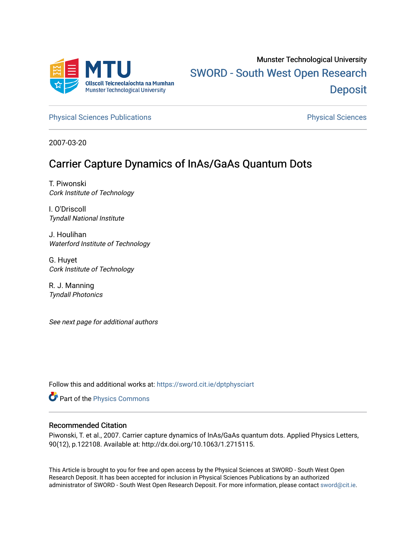

# Munster Technological University [SWORD - South West Open Research](https://sword.cit.ie/)  **Deposit**

[Physical Sciences Publications](https://sword.cit.ie/dptphysciart) **Physical Sciences** Physical Sciences

2007-03-20

## Carrier Capture Dynamics of InAs/GaAs Quantum Dots

T. Piwonski Cork Institute of Technology

I. O'Driscoll Tyndall National Institute

J. Houlihan Waterford Institute of Technology

G. Huyet Cork Institute of Technology

R. J. Manning Tyndall Photonics

See next page for additional authors

Follow this and additional works at: [https://sword.cit.ie/dptphysciart](https://sword.cit.ie/dptphysciart?utm_source=sword.cit.ie%2Fdptphysciart%2F1&utm_medium=PDF&utm_campaign=PDFCoverPages)

Part of the [Physics Commons](http://network.bepress.com/hgg/discipline/193?utm_source=sword.cit.ie%2Fdptphysciart%2F1&utm_medium=PDF&utm_campaign=PDFCoverPages)

#### Recommended Citation

Piwonski, T. et al., 2007. Carrier capture dynamics of InAs∕GaAs quantum dots. Applied Physics Letters, 90(12), p.122108. Available at: http://dx.doi.org/10.1063/1.2715115.

This Article is brought to you for free and open access by the Physical Sciences at SWORD - South West Open Research Deposit. It has been accepted for inclusion in Physical Sciences Publications by an authorized administrator of SWORD - South West Open Research Deposit. For more information, please contact [sword@cit.ie.](mailto:sword@cit.ie)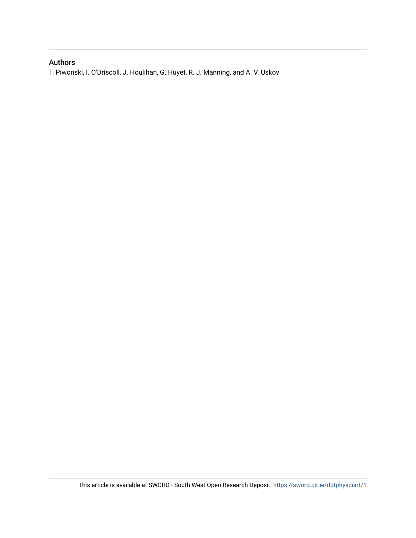### Authors

T. Piwonski, I. O'Driscoll, J. Houlihan, G. Huyet, R. J. Manning, and A. V. Uskov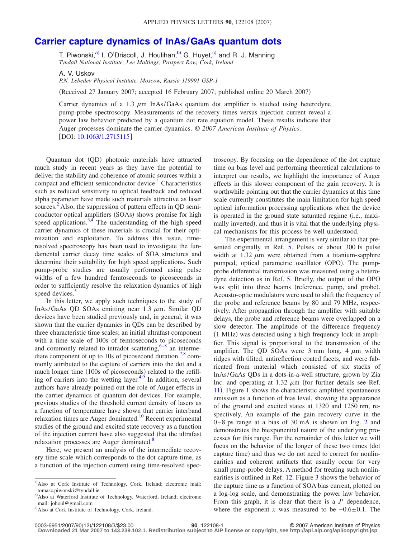## **[Carrier capture dynamics of InAs/GaAs quantum dots](http://dx.doi.org/10.1063/1.2715115)**

T. Piwonski,<sup>a)</sup> I. O'Driscoll, J. Houlihan,<sup>b)</sup> G. Huyet,<sup>c)</sup> and R. J. Manning *Tyndall National Institute, Lee Maltings, Prospect Row, Cork, Ireland*

A. V. Uskov

*P.N. Lebedev Physical Institute, Moscow, Russia 119991 GSP-1*

Received 27 January 2007; accepted 16 February 2007; published online 20 March 2007-

Carrier dynamics of a 1.3  $\mu$ m InAs/GaAs quantum dot amplifier is studied using heterodyne pump-probe spectroscopy. Measurements of the recovery times versus injection current reveal a power law behavior predicted by a quantum dot rate equation model. These results indicate that Auger processes dominate the carrier dynamics. © *2007 American Institute of Physics*. [DOI: [10.1063/1.2715115](http://dx.doi.org/10.1063/1.2715115)]

Quantum dot (QD) photonic materials have attracted much study in recent years as they have the potential to deliver the stability and coherence of atomic sources within a compact and efficient semiconductor device.<sup>1</sup> Characteristics such as reduced sensitivity to optical feedback and reduced alpha parameter have made such materials attractive as laser sources.<sup>[2](#page-4-1)</sup> Also, the suppression of pattern effects in QD semiconductor optical amplifiers (SOAs) shows promise for high speed applications.<sup>3[,4](#page-4-3)</sup> The understanding of the high speed carrier dynamics of these materials is crucial for their optimization and exploitation. To address this issue, timeresolved spectroscopy has been used to investigate the fundamental carrier decay time scales of SOA structures and determine their suitability for high speed applications. Such pump-probe studies are usually performed using pulse widths of a few hundred femtoseconds to picoseconds in order to sufficiently resolve the relaxation dynamics of high speed devices.<sup>3</sup>

In this letter, we apply such techniques to the study of InAs/GaAs QD SOAs emitting near  $1.3 \mu$ m. Similar QD devices have been studied previously and, in general, it was shown that the carrier dynamics in QDs can be described by three characteristic time scales; an initial ultrafast component with a time scale of 100s of femtoseconds to picoseconds and commonly related to intradot scattering,  $6-8$  an interme-diate component of up to 10s of picosecond duration,<sup>7[,8](#page-4-6)</sup> commonly attributed to the capture of carriers into the dot and a much longer time (100s of picoseconds) related to the refill-ing of carriers into the wetting layer.<sup>4,[9](#page-4-7)</sup> In addition, several authors have already pointed out the role of Auger effects in the carrier dynamics of quantum dot devices. For example, previous studies of the threshold current density of lasers as a function of temperature have shown that carrier interband relaxation times are Auger dominated.<sup>10</sup> Recent experimental studies of the ground and excited state recovery as a function of the injection current have also suggested that the ultrafast relaxation processes are Auger dominated.<sup>8</sup>

<span id="page-2-0"></span>Here, we present an analysis of the intermediate recovery time scale which corresponds to the dot capture time, as a function of the injection current using time-resolved spectroscopy. By focusing on the dependence of the dot capture time on bias level and performing theoretical calculations to interpret our results, we highlight the importance of Auger effects in this slower component of the gain recovery. It is worthwhile pointing out that the carrier dynamics at this time scale currently constitutes the main limitation for high speed optical information processing applications when the device is operated in the ground state saturated regime (i.e., maximally inverted), and thus it is vital that the underlying physical mechanisms for this process be well understood.

The experimental arrangement is very similar to that presented originally in Ref. [5.](#page-4-4) Pulses of about 300 fs pulse width at 1.32  $\mu$ m were obtained from a titanium-sapphire pumped, optical parametric oscillator (OPO). The pumpprobe differential transmission was measured using a heterodyne detection as in Ref. [5.](#page-4-4) Briefly, the output of the OPO was split into three beams (reference, pump, and probe). Acousto-optic modulators were used to shift the frequency of the probe and reference beams by 80 and 79 MHz, respectively. After propagation through the amplifier with suitable delays, the probe and reference beams were overlapped on a slow detector. The amplitude of the difference frequency (1 MHz) was detected using a high frequency lock-in amplifier. This signal is proportional to the transmission of the amplifier. The QD SOAs were  $3 \text{ mm}$  long,  $4 \mu \text{m}$  width ridges with tilited, antireflection coated facets, and were fabricated from material which consisted of six stacks of InAs/GaAs QDs in a dots-in-a-well structure, grown by Zia Inc. and operating at 1.32  $\mu$ m (for further details see Ref. [11](#page-4-9)). Figure [1](#page-3-0) shows the characteristic amplified spontaneous emission as a function of bias level, showing the appearance of the ground and excited states at 1320 and 1250 nm, respectively. An example of the gain recovery curve in the 0 – 8 ps range at a bias of 30 mA is shown on Fig. [2](#page-3-1) and demonstrates the biexponential nature of the underlying processes for this range. For the remainder of this letter we will focus on the behavior of the longer of these two times (dot capture time) and thus we do not need to correct for nonlinearities and coherent artifacts that usually occur for very small pump-probe delays. A method for treating such nonlinearities is outlined in Ref. [12.](#page-4-10) Figure [3](#page-3-2) shows the behavior of the capture time as a function of SOA bias current, plotted on a log-log scale, and demonstrating the power law behavior. From this graph, it is clear that there is a  $J^x$  dependence, where the exponent *x* was measured to be  $-0.6 \pm 0.1$ . The

<span id="page-2-1"></span>a)Also at Cork Institute of Technology, Cork, Ireland; electronic mail: tomasz.piwonski@tyndall.ie

<span id="page-2-2"></span>b) Also at Waterford Institute of Technology, Waterford, Ireland; electronic mail: johoul@gmail.com

c) Also at Cork Institute of Technology, Cork, Ireland.

**<sup>90</sup>**, 122108-1 © 2007 American Institute of Physics

**Downloaded 21 Mar 2007 to 143.239.102.1. Redistribution subject to AIP license or copyright, see http://apl.aip.org/apl/copyright.jsp**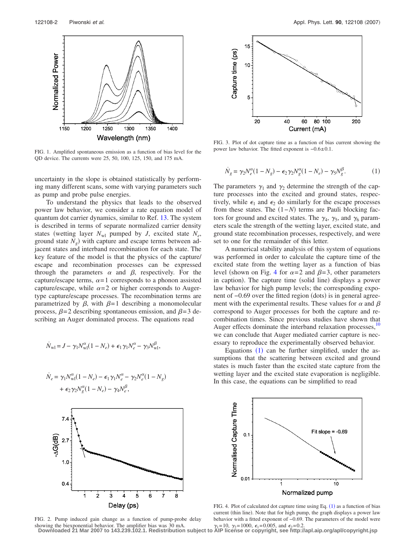<span id="page-3-0"></span>

FIG. 1. Amplified spontaneous emission as a function of bias level for the QD device. The currents were 25, 50, 100, 125, 150, and 175 mA.

uncertainty in the slope is obtained statistically by performing many different scans, some with varying parameters such as pump and probe pulse energies.

To understand the physics that leads to the observed power law behavior, we consider a rate equation model of quantum dot carrier dynamics, similar to Ref. [13.](#page-4-11) The system is described in terms of separate normalized carrier density states (wetting layer  $N_{wl}$  pumped by *J*, excited state  $N_e$ , ground state  $N_g$ ) with capture and escape terms between adjacent states and interband recombination for each state. The key feature of the model is that the physics of the capture/ escape and recombination processes can be expressed through the parameters  $\alpha$  and  $\beta$ , respectively. For the capture/escape terms,  $\alpha = 1$  corresponds to a phonon assisted capture/escape, while  $\alpha = 2$  or higher corresponds to Augertype capture/escape processes. The recombination terms are parametrized by  $\beta$ , with  $\beta = 1$  describing a monomolecular process,  $\beta = 2$  describing spontaneous emission, and  $\beta = 3$  describing an Auger dominated process. The equations read

<span id="page-3-4"></span>
$$
\dot{N}_{\text{wl}} = J - \gamma_1 N_{\text{wl}}^{\alpha} (1 - N_e) + \epsilon_1 \gamma_1 N_e^{\alpha} - \gamma_3 N_{\text{wl}}^{\beta},
$$

$$
\dot{N}_e = \gamma_1 N_{\rm w1}^{\alpha} (1 - N_e) - \epsilon_1 \gamma_1 N_e^{\alpha} - \gamma_2 N_e^{\alpha} (1 - N_g)
$$

$$
+ \epsilon_2 \gamma_2 N_g^{\alpha} (1 - N_e) - \gamma_4 N_e^{\beta},
$$

<span id="page-3-2"></span>

FIG. 3. Plot of dot capture time as a function of bias current showing the power law behavior. The fitted exponent is −0.6± 0.1.

$$
\dot{N}_g = \gamma_2 N_e^{\alpha} (1 - N_g) - \epsilon_2 \gamma_2 N_g^{\alpha} (1 - N_e) - \gamma_5 N_g^{\beta}.
$$
 (1)

The parameters  $\gamma_1$  and  $\gamma_2$  determine the strength of the capture processes into the excited and ground states, respectively, while  $\epsilon_1$  and  $\epsilon_2$  do similarly for the escape processes from these states. The  $(1-N)$  terms are Pauli blocking factors for ground and excited states. The  $\gamma_4$ ,  $\gamma_5$ , and  $\gamma_6$  parameters scale the strength of the wetting layer, excited state, and ground state recombination processes, respectively, and were set to one for the remainder of this letter.

A numerical stability analysis of this system of equations was performed in order to calculate the capture time of the excited state from the wetting layer as a function of bias level (shown on Fig. [4](#page-3-3) for  $\alpha = 2$  and  $\beta = 3$ , other parameters in caption). The capture time (solid line) displays a power law behavior for high pump levels; the corresponding exponent of -0.69 over the fitted region (dots) is in general agreement with the experimental results. These values for  $\alpha$  and  $\beta$ correspond to Auger processes for both the capture and recombination times. Since previous studies have shown that Auger effects dominate the interband relaxation processes,<sup>10</sup> we can conclude that Auger mediated carrier capture is necessary to reproduce the experimentally observed behavior.

Equations  $(1)$  $(1)$  $(1)$  can be further simplified, under the assumptions that the scattering between excited and ground states is much faster than the excited state capture from the wetting layer and the excited state evaporation is negligible. In this case, the equations can be simplified to read

<span id="page-3-1"></span>

FIG. 2. Pump induced gain change as a function of pump-probe delay showing the biexponential behavior. The amplifier bias was 30 mA.

<span id="page-3-3"></span>

FIG. 4. Plot of calculated dot capture time using Eq.  $(1)$  $(1)$  $(1)$  as a function of bias current (thin line). Note that for high pump, the graph displays a power law behavior with a fitted exponent of −0.69. The parameters of the model were  $\gamma_1 = 10$ ,  $\gamma_2 = 1000$ ,  $\epsilon_1 = 0.005$ , and  $\epsilon_2 = 0.2$ .

**Downloaded 21 Mar 2007 to 143.239.102.1. Redistribution subject to AIP license or copyright, see http://apl.aip.org/apl/copyright.jsp**